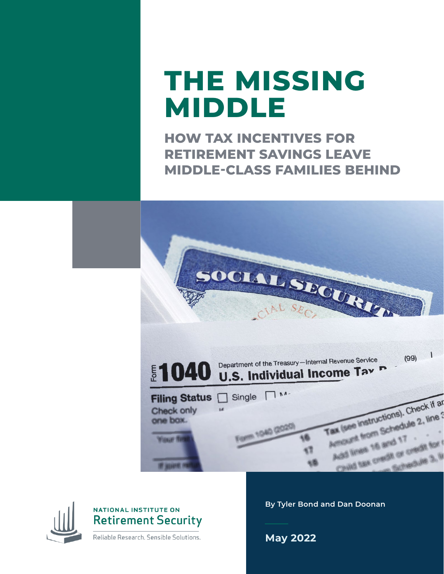# **THE MISSING MIDDLE**

**HOW TAX INCENTIVES FOR RETIREMENT SAVINGS LEAVE MIDDLE-CLASS FAMILIES BEHIND**





### NATIONAL INSTITUTE ON **Retirement Security**

Reliable Research. Sensible Solutions.

**By Tyler Bond and Dan Doonan**

**May 2022**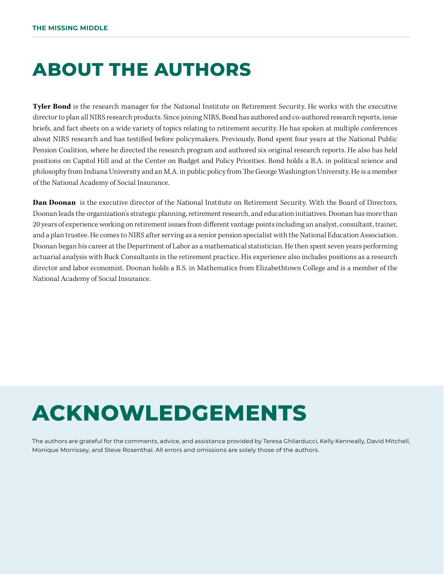## **ABOUT THE AUTHORS**

**Tyler Bond** is the research manager for the National Institute on Retirement Security. He works with the executive director to plan all NIRS research products. Since joining NIRS, Bond has authored and co-authored research reports, issue briefs, and fact sheets on a wide variety of topics relating to retirement security. He has spoken at multiple conferences about NIRS research and has testified before policymakers. Previously, Bond spent four years at the National Public Pension Coalition, where he directed the research program and authored six original research reports. He also has held positions on Capitol Hill and at the Center on Budget and Policy Priorities. Bond holds a B.A. in political science and philosophy from Indiana University and an M.A. in public policy from The George Washington University. He is a member of the National Academy of Social Insurance.

**Dan Doonan** is the executive director of the National Institute on Retirement Security. With the Board of Directors, Doonan leads the organization's strategic planning, retirement research, and education initiatives. Doonan has more than 20 years of experience working on retirement issues from different vantage points including an analyst, consultant, trainer, and a plan trustee. He comes to NIRS after serving as a senior pension specialist with the National Education Association. Doonan began his career at the Department of Labor as a mathematical statistician. He then spent seven years performing actuarial analysis with Buck Consultants in the retirement practice. His experience also includes positions as a research director and labor economist. Doonan holds a B.S. in Mathematics from Elizabethtown College and is a member of the National Academy of Social Insurance.

# **ACKNOWLEDGEMENTS**

The authors are grateful for the comments, advice, and assistance provided by Teresa Ghilarducci, Kelly Kenneally, David Mitchell, Monique Morrissey, and Steve Rosenthal. All errors and omissions are solely those of the authors.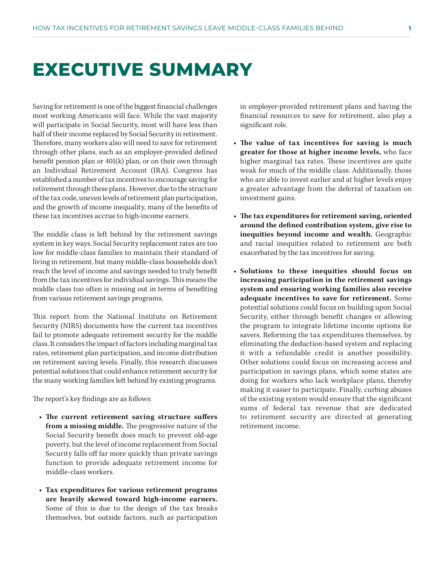### **EXECUTIVE SUMMARY**

Saving for retirement is one of the biggest financial challenges most working Americans will face. While the vast majority will participate in Social Security, most will have less than half of their income replaced by Social Security in retirement. Therefore, many workers also will need to save for retirement through other plans, such as an employer-provided defined benefit pension plan or 401(k) plan, or on their own through an Individual Retirement Account (IRA). Congress has established a number of tax incentives to encourage saving for retirement through these plans. However, due to the structure of the tax code, uneven levels of retirement plan participation, and the growth of income inequality, many of the benefits of these tax incentives accrue to high-income earners.

The middle class is left behind by the retirement savings system in key ways. Social Security replacement rates are too low for middle-class families to maintain their standard of living in retirement, but many middle-class households don't reach the level of income and savings needed to truly benefit from the tax incentives for individual savings. This means the middle class too often is missing out in terms of benefiting from various retirement savings programs.

This report from the National Institute on Retirement Security (NIRS) documents how the current tax incentives fail to promote adequate retirement security for the middle class. It considers the impact of factors including marginal tax rates, retirement plan participation, and income distribution on retirement saving levels. Finally, this research discusses potential solutions that could enhance retirement security for the many working families left behind by existing programs.

The report's key findings are as follows:

- **• The current retirement saving structure suffers from a missing middle.** The progressive nature of the Social Security benefit does much to prevent old-age poverty, but the level of income replacement from Social Security falls off far more quickly than private savings function to provide adequate retirement income for middle-class workers.
- **• Tax expenditures for various retirement programs are heavily skewed toward high-income earners.**  Some of this is due to the design of the tax breaks themselves, but outside factors, such as participation

in employer-provided retirement plans and having the financial resources to save for retirement, also play a significant role.

- **• The value of tax incentives for saving is much greater for those at higher income levels,** who face higher marginal tax rates. These incentives are quite weak for much of the middle class. Additionally, those who are able to invest earlier and at higher levels enjoy a greater advantage from the deferral of taxation on investment gains.
- **• The tax expenditures for retirement saving, oriented around the defined contribution system, give rise to inequities beyond income and wealth.** Geographic and racial inequities related to retirement are both exacerbated by the tax incentives for saving.
- **• Solutions to these inequities should focus on increasing participation in the retirement savings system and ensuring working families also receive adequate incentives to save for retirement.** Some potential solutions could focus on building upon Social Security, either through benefit changes or allowing the program to integrate lifetime income options for savers. Reforming the tax expenditures themselves, by eliminating the deduction-based system and replacing it with a refundable credit is another possibility. Other solutions could focus on increasing access and participation in savings plans, which some states are doing for workers who lack workplace plans, thereby making it easier to participate. Finally, curbing abuses of the existing system would ensure that the significant sums of federal tax revenue that are dedicated to retirement security are directed at generating retirement income.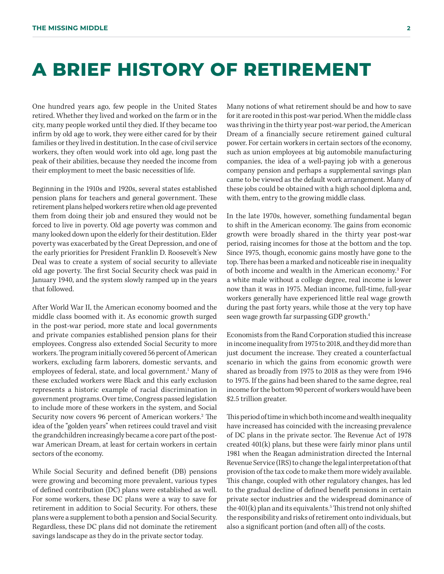### **A BRIEF HISTORY OF RETIREMENT**

One hundred years ago, few people in the United States retired. Whether they lived and worked on the farm or in the city, many people worked until they died. If they became too infirm by old age to work, they were either cared for by their families or they lived in destitution. In the case of civil service workers, they often would work into old age, long past the peak of their abilities, because they needed the income from their employment to meet the basic necessities of life.

Beginning in the 1910s and 1920s, several states established pension plans for teachers and general government. These retirement plans helped workers retire when old age prevented them from doing their job and ensured they would not be forced to live in poverty. Old age poverty was common and many looked down upon the elderly for their destitution. Elder poverty was exacerbated by the Great Depression, and one of the early priorities for President Franklin D. Roosevelt's New Deal was to create a system of social security to alleviate old age poverty. The first Social Security check was paid in January 1940, and the system slowly ramped up in the years that followed.

After World War II, the American economy boomed and the middle class boomed with it. As economic growth surged in the post-war period, more state and local governments and private companies established pension plans for their employees. Congress also extended Social Security to more workers. The program initially covered 56 percent of American workers, excluding farm laborers, domestic servants, and employees of federal, state, and local government.<sup>1</sup> Many of these excluded workers were Black and this early exclusion represents a historic example of racial discrimination in government programs. Over time, Congress passed legislation to include more of these workers in the system, and Social Security now covers 96 percent of American workers.<sup>2</sup> The idea of the "golden years" when retirees could travel and visit the grandchildren increasingly became a core part of the postwar American Dream, at least for certain workers in certain sectors of the economy.

While Social Security and defined benefit (DB) pensions were growing and becoming more prevalent, various types of defined contribution (DC) plans were established as well. For some workers, these DC plans were a way to save for retirement in addition to Social Security. For others, these plans were a supplement to both a pension and Social Security. Regardless, these DC plans did not dominate the retirement savings landscape as they do in the private sector today.

Many notions of what retirement should be and how to save for it are rooted in this post-war period. When the middle class was thriving in the thirty year post-war period, the American Dream of a financially secure retirement gained cultural power. For certain workers in certain sectors of the economy, such as union employees at big automobile manufacturing companies, the idea of a well-paying job with a generous company pension and perhaps a supplemental savings plan came to be viewed as the default work arrangement. Many of these jobs could be obtained with a high school diploma and, with them, entry to the growing middle class.

In the late 1970s, however, something fundamental began to shift in the American economy. The gains from economic growth were broadly shared in the thirty year post-war period, raising incomes for those at the bottom and the top. Since 1975, though, economic gains mostly have gone to the top. There has been a marked and noticeable rise in inequality of both income and wealth in the American economy.3 For a white male without a college degree, real income is lower now than it was in 1975. Median income, full-time, full-year workers generally have experienced little real wage growth during the past forty years, while those at the very top have seen wage growth far surpassing GDP growth.4

Economists from the Rand Corporation studied this increase in income inequality from 1975 to 2018, and they did more than just document the increase. They created a counterfactual scenario in which the gains from economic growth were shared as broadly from 1975 to 2018 as they were from 1946 to 1975. If the gains had been shared to the same degree, real income for the bottom 90 percent of workers would have been \$2.5 trillion greater.

This period of time in which both income and wealth inequality have increased has coincided with the increasing prevalence of DC plans in the private sector. The Revenue Act of 1978 created 401(k) plans, but these were fairly minor plans until 1981 when the Reagan administration directed the Internal Revenue Service (IRS) to change the legal interpretation of that provision of the tax code to make them more widely available. This change, coupled with other regulatory changes, has led to the gradual decline of defined benefit pensions in certain private sector industries and the widespread dominance of the 401(k) plan and its equivalents.<sup>5</sup> This trend not only shifted the responsibility and risks of retirement onto individuals, but also a significant portion (and often all) of the costs.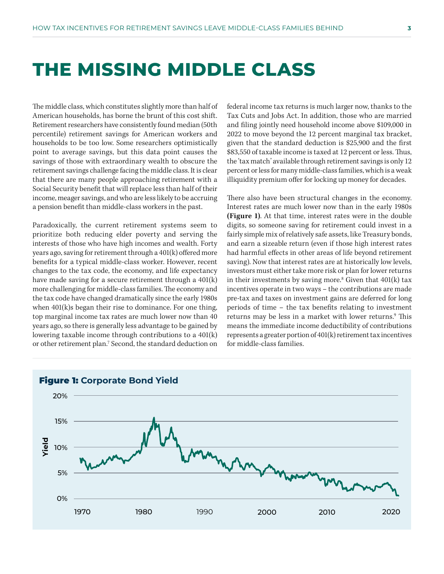### **THE MISSING MIDDLE CLASS**

The middle class, which constitutes slightly more than half of American households, has borne the brunt of this cost shift. Retirement researchers have consistently found median (50th percentile) retirement savings for American workers and households to be too low. Some researchers optimistically point to average savings, but this data point causes the savings of those with extraordinary wealth to obscure the retirement savings challenge facing the middle class. It is clear that there are many people approaching retirement with a Social Security benefit that will replace less than half of their income, meager savings, and who are less likely to be accruing a pension benefit than middle-class workers in the past.

Paradoxically, the current retirement systems seem to prioritize both reducing elder poverty and serving the interests of those who have high incomes and wealth. Forty years ago, saving for retirement through a 401(k) offered more benefits for a typical middle-class worker. However, recent changes to the tax code, the economy, and life expectancy have made saving for a secure retirement through a 401(k) more challenging for middle-class families. The economy and the tax code have changed dramatically since the early 1980s when 401(k)s began their rise to dominance. For one thing, top marginal income tax rates are much lower now than 40 years ago, so there is generally less advantage to be gained by lowering taxable income through contributions to a 401(k) or other retirement plan.7 Second, the standard deduction on federal income tax returns is much larger now, thanks to the Tax Cuts and Jobs Act. In addition, those who are married and filing jointly need household income above \$109,000 in 2022 to move beyond the 12 percent marginal tax bracket, given that the standard deduction is \$25,900 and the first \$83,550 of taxable income is taxed at 12 percent or less. Thus, the 'tax match' available through retirement savings is only 12 percent or less for many middle-class families, which is a weak illiquidity premium offer for locking up money for decades.

There also have been structural changes in the economy. Interest rates are much lower now than in the early 1980s **(Figure 1)**. At that time, interest rates were in the double digits, so someone saving for retirement could invest in a fairly simple mix of relatively safe assets, like Treasury bonds, and earn a sizeable return (even if those high interest rates had harmful effects in other areas of life beyond retirement saving). Now that interest rates are at historically low levels, investors must either take more risk or plan for lower returns in their investments by saving more.8 Given that 401(k) tax incentives operate in two ways – the contributions are made pre-tax and taxes on investment gains are deferred for long periods of time – the tax benefits relating to investment returns may be less in a market with lower returns.<sup>9</sup> This means the immediate income deductibility of contributions represents a greater portion of 401(k) retirement tax incentives for middle-class families.

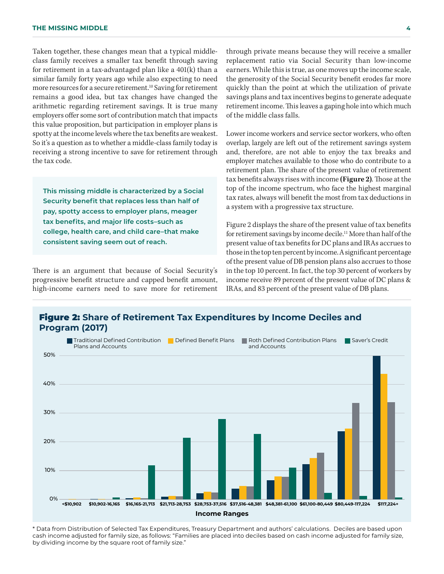Taken together, these changes mean that a typical middleclass family receives a smaller tax benefit through saving for retirement in a tax-advantaged plan like a 401(k) than a similar family forty years ago while also expecting to need more resources for a secure retirement.<sup>10</sup> Saving for retirement remains a good idea, but tax changes have changed the arithmetic regarding retirement savings. It is true many employers offer some sort of contribution match that impacts this value proposition, but participation in employer plans is spotty at the income levels where the tax benefits are weakest. So it's a question as to whether a middle-class family today is receiving a strong incentive to save for retirement through the tax code.

**This missing middle is characterized by a Social Security benefit that replaces less than half of pay, spotty access to employer plans, meager tax benefits, and major life costs–such as college, health care, and child care–that make consistent saving seem out of reach.** 

There is an argument that because of Social Security's progressive benefit structure and capped benefit amount, high-income earners need to save more for retirement

through private means because they will receive a smaller replacement ratio via Social Security than low-income earners. While this is true, as one moves up the income scale, the generosity of the Social Security benefit erodes far more quickly than the point at which the utilization of private savings plans and tax incentives begins to generate adequate retirement income. This leaves a gaping hole into which much of the middle class falls.

Lower income workers and service sector workers, who often overlap, largely are left out of the retirement savings system and, therefore, are not able to enjoy the tax breaks and employer matches available to those who do contribute to a retirement plan. The share of the present value of retirement tax benefits always rises with income **(Figure 2)**. Those at the top of the income spectrum, who face the highest marginal tax rates, always will benefit the most from tax deductions in a system with a progressive tax structure.

Figure 2 displays the share of the present value of tax benefits for retirement savings by income decile.<sup>11</sup> More than half of the present value of tax benefits for DC plans and IRAs accrues to those in the top ten percent by income. A significant percentage of the present value of DB pension plans also accrues to those in the top 10 percent. In fact, the top 30 percent of workers by income receive 89 percent of the present value of DC plans & IRAs, and 83 percent of the present value of DB plans.





\* Data from Distribution of Selected Tax Expenditures, Treasury Department and authors' calculations. Deciles are based upon cash income adjusted for family size, as follows: "Families are placed into deciles based on cash income adjusted for family size, by dividing income by the square root of family size."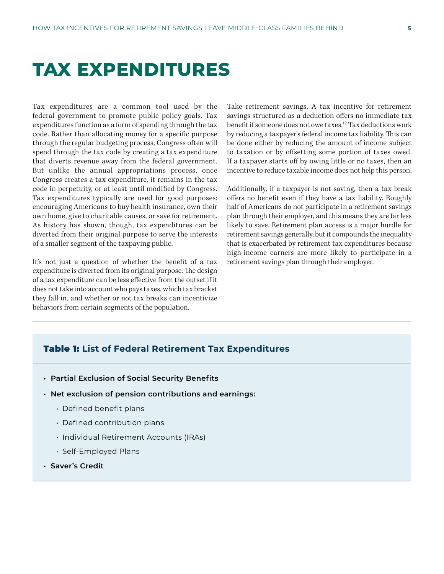### **TAX EXPENDITURES**

Tax expenditures are a common tool used by the federal government to promote public policy goals. Tax expenditures function as a form of spending through the tax code. Rather than allocating money for a specific purpose through the regular budgeting process, Congress often will spend through the tax code by creating a tax expenditure that diverts revenue away from the federal government. But unlike the annual appropriations process, once Congress creates a tax expenditure, it remains in the tax code in perpetuity, or at least until modified by Congress. Tax expenditures typically are used for good purposes: encouraging Americans to buy health insurance, own their own home, give to charitable causes, or save for retirement. As history has shown, though, tax expenditures can be diverted from their original purpose to serve the interests of a smaller segment of the taxpaying public.

It's not just a question of whether the benefit of a tax expenditure is diverted from its original purpose. The design of a tax expenditure can be less effective from the outset if it does not take into account who pays taxes, which tax bracket they fall in, and whether or not tax breaks can incentivize behaviors from certain segments of the population.

Take retirement savings. A tax incentive for retirement savings structured as a deduction offers no immediate tax benefit if someone does not owe taxes.12 Tax deductions work by reducing a taxpayer's federal income tax liability. This can be done either by reducing the amount of income subject to taxation or by offsetting some portion of taxes owed. If a taxpayer starts off by owing little or no taxes, then an incentive to reduce taxable income does not help this person.

Additionally, if a taxpayer is not saving, then a tax break offers no benefit even if they have a tax liability. Roughly half of Americans do not participate in a retirement savings plan through their employer, and this means they are far less likely to save. Retirement plan access is a major hurdle for retirement savings generally, but it compounds the inequality that is exacerbated by retirement tax expenditures because high-income earners are more likely to participate in a retirement savings plan through their employer.

#### Table 1: **List of Federal Retirement Tax Expenditures**

- **• Partial Exclusion of Social Security Benefits**
- **• Net exclusion of pension contributions and earnings:**
	- Defined benefit plans
	- Defined contribution plans
	- Individual Retirement Accounts (IRAs)
	- Self-Employed Plans
- **• Saver's Credit**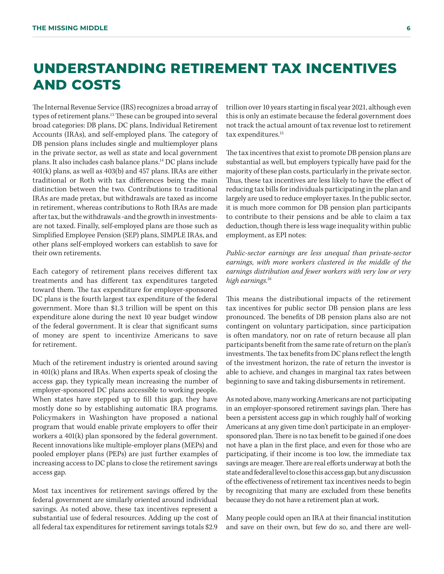### **UNDERSTANDING RETIREMENT TAX INCENTIVES AND COSTS**

The Internal Revenue Service (IRS) recognizes a broad array of types of retirement plans.<sup>13</sup> These can be grouped into several broad categories: DB plans, DC plans, Individual Retirement Accounts (IRAs), and self-employed plans. The category of DB pension plans includes single and multiemployer plans in the private sector, as well as state and local government plans. It also includes cash balance plans.14 DC plans include 401(k) plans, as well as 403(b) and 457 plans. IRAs are either traditional or Roth with tax differences being the main distinction between the two. Contributions to traditional IRAs are made pretax, but withdrawals are taxed as income in retirement, whereas contributions to Roth IRAs are made after tax, but the withdrawals -and the growth in investmentsare not taxed. Finally, self-employed plans are those such as Simplified Employee Pension (SEP) plans, SIMPLE IRAs, and other plans self-employed workers can establish to save for their own retirements.

Each category of retirement plans receives different tax treatments and has different tax expenditures targeted toward them. The tax expenditure for employer-sponsored DC plans is the fourth largest tax expenditure of the federal government. More than \$1.3 trillion will be spent on this expenditure alone during the next 10 year budget window of the federal government. It is clear that significant sums of money are spent to incentivize Americans to save for retirement.

Much of the retirement industry is oriented around saving in 401(k) plans and IRAs. When experts speak of closing the access gap, they typically mean increasing the number of employer-sponsored DC plans accessible to working people. When states have stepped up to fill this gap, they have mostly done so by establishing automatic IRA programs. Policymakers in Washington have proposed a national program that would enable private employers to offer their workers a 401(k) plan sponsored by the federal government. Recent innovations like multiple-employer plans (MEPs) and pooled employer plans (PEPs) are just further examples of increasing access to DC plans to close the retirement savings access gap.

Most tax incentives for retirement savings offered by the federal government are similarly oriented around individual savings. As noted above, these tax incentives represent a substantial use of federal resources. Adding up the cost of all federal tax expenditures for retirement savings totals \$2.9

trillion over 10 years starting in fiscal year 2021, although even this is only an estimate because the federal government does not track the actual amount of tax revenue lost to retirement tax expenditures.15

The tax incentives that exist to promote DB pension plans are substantial as well, but employers typically have paid for the majority of these plan costs, particularly in the private sector. Thus, these tax incentives are less likely to have the effect of reducing tax bills for individuals participating in the plan and largely are used to reduce employer taxes. In the public sector, it is much more common for DB pension plan participants to contribute to their pensions and be able to claim a tax deduction, though there is less wage inequality within public employment, as EPI notes:

*Public-sector earnings are less unequal than private-sector earnings, with more workers clustered in the middle of the earnings distribution and fewer workers with very low or very high earnings.16*

This means the distributional impacts of the retirement tax incentives for public sector DB pension plans are less pronounced. The benefits of DB pension plans also are not contingent on voluntary participation, since participation is often mandatory, nor on rate of return because all plan participants benefit from the same rate of return on the plan's investments. The tax benefits from DC plans reflect the length of the investment horizon, the rate of return the investor is able to achieve, and changes in marginal tax rates between beginning to save and taking disbursements in retirement.

As noted above, many working Americans are not participating in an employer-sponsored retirement savings plan. There has been a persistent access gap in which roughly half of working Americans at any given time don't participate in an employersponsored plan. There is no tax benefit to be gained if one does not have a plan in the first place, and even for those who are participating, if their income is too low, the immediate tax savings are meager. There are real efforts underway at both the state and federal level to close this access gap, but any discussion of the effectiveness of retirement tax incentives needs to begin by recognizing that many are excluded from these benefits because they do not have a retirement plan at work.

Many people could open an IRA at their financial institution and save on their own, but few do so, and there are well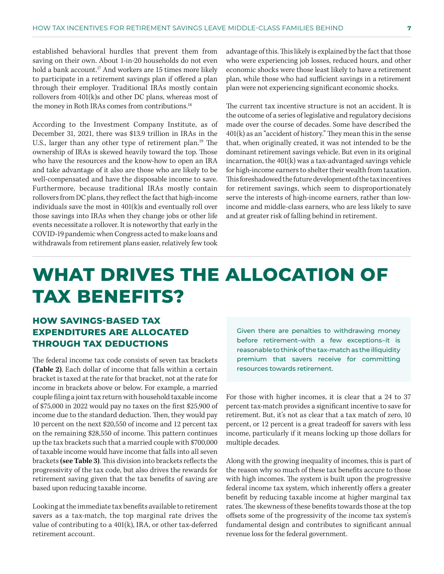established behavioral hurdles that prevent them from saving on their own. About 1-in-20 households do not even hold a bank account.<sup>17</sup> And workers are 15 times more likely to participate in a retirement savings plan if offered a plan through their employer. Traditional IRAs mostly contain rollovers from 401(k)s and other DC plans, whereas most of the money in Roth IRAs comes from contributions.<sup>18</sup>

According to the Investment Company Institute, as of December 31, 2021, there was \$13.9 trillion in IRAs in the U.S., larger than any other type of retirement plan.<sup>19</sup> The ownership of IRAs is skewed heavily toward the top. Those who have the resources and the know-how to open an IRA and take advantage of it also are those who are likely to be well-compensated and have the disposable income to save. Furthermore, because traditional IRAs mostly contain rollovers from DC plans, they reflect the fact that high-income individuals save the most in 401(k)s and eventually roll over those savings into IRAs when they change jobs or other life events necessitate a rollover. It is noteworthy that early in the COVID-19 pandemic when Congress acted to make loans and withdrawals from retirement plans easier, relatively few took

advantage of this. This likely is explained by the fact that those who were experiencing job losses, reduced hours, and other economic shocks were those least likely to have a retirement plan, while those who had sufficient savings in a retirement plan were not experiencing significant economic shocks.

The current tax incentive structure is not an accident. It is the outcome of a series of legislative and regulatory decisions made over the course of decades. Some have described the 401(k) as an "accident of history." They mean this in the sense that, when originally created, it was not intended to be the dominant retirement savings vehicle. But even in its original incarnation, the 401(k) was a tax-advantaged savings vehicle for high-income earners to shelter their wealth from taxation. This foreshadowed the future development of the tax incentives for retirement savings, which seem to disproportionately serve the interests of high-income earners, rather than lowincome and middle-class earners, who are less likely to save and at greater risk of falling behind in retirement.

### **WHAT DRIVES THE ALLOCATION OF TAX BENEFITS?**

#### **HOW SAVINGS-BASED TAX EXPENDITURES ARE ALLOCATED THROUGH TAX DEDUCTIONS**

The federal income tax code consists of seven tax brackets **(Table 2)**. Each dollar of income that falls within a certain bracket is taxed at the rate for that bracket, not at the rate for income in brackets above or below. For example, a married couple filing a joint tax return with household taxable income of \$75,000 in 2022 would pay no taxes on the first \$25,900 of income due to the standard deduction. Then, they would pay 10 percent on the next \$20,550 of income and 12 percent tax on the remaining \$28,550 of income. This pattern continues up the tax brackets such that a married couple with \$700,000 of taxable income would have income that falls into all seven brackets **(see Table 3)**. This division into brackets reflects the progressivity of the tax code, but also drives the rewards for retirement saving given that the tax benefits of saving are based upon reducing taxable income.

Looking at the immediate tax benefits available to retirement savers as a tax-match, the top marginal rate drives the value of contributing to a  $401(k)$ , IRA, or other tax-deferred retirement account.

Given there are penalties to withdrawing money before retirement–with a few exceptions–it is reasonable to think of the tax-match as the illiquidity premium that savers receive for committing resources towards retirement.

For those with higher incomes, it is clear that a 24 to 37 percent tax-match provides a significant incentive to save for retirement. But, it's not as clear that a tax match of zero, 10 percent, or 12 percent is a great tradeoff for savers with less income, particularly if it means locking up those dollars for multiple decades.

Along with the growing inequality of incomes, this is part of the reason why so much of these tax benefits accure to those with high incomes. The system is built upon the progressive federal income tax system, which inherently offers a greater benefit by reducing taxable income at higher marginal tax rates. The skewness of these benefits towards those at the top offsets some of the progressivity of the income tax system's fundamental design and contributes to significant annual revenue loss for the federal government.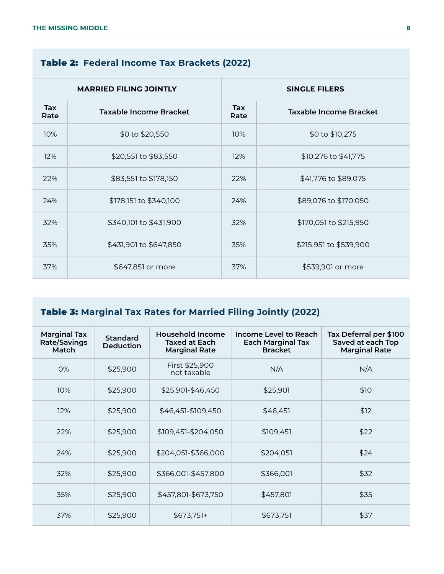#### Table 2: **Federal Income Tax Brackets (2022)**

| <b>MARRIED FILING JOINTLY</b> |                        | <b>SINGLE FILERS</b> |                        |
|-------------------------------|------------------------|----------------------|------------------------|
| Tax<br>Rate                   | Taxable Income Bracket | Tax<br>Rate          | Taxable Income Bracket |
| 10%                           | \$0 to \$20,550        | 10%                  | \$0 to \$10,275        |
| 12%                           | \$20,551 to \$83,550   | 12%                  | \$10,276 to \$41,775   |
| 22%                           | \$83,551 to \$178,150  | 22%                  | \$41,776 to \$89,075   |
| 24%                           | \$178,151 to \$340,100 | 24%                  | \$89,076 to \$170,050  |
| 32%                           | \$340,101 to \$431,900 | 32%                  | \$170,051 to \$215,950 |
| 35%                           | \$431,901 to \$647,850 | 35%                  | \$215,951 to \$539,900 |
| 37%                           | \$647,851 or more      | 37%                  | \$539,901 or more      |

### Table 3: **Marginal Tax Rates for Married Filing Jointly (2022)**

| <b>Marginal Tax</b><br>Rate/Savings<br>Match | <b>Standard</b><br><b>Deduction</b> | Household Income<br><b>Taxed at Each</b><br><b>Marginal Rate</b> | Income Level to Reach<br><b>Each Marginal Tax</b><br><b>Bracket</b> | Tax Deferral per \$100<br>Saved at each Top<br><b>Marginal Rate</b> |
|----------------------------------------------|-------------------------------------|------------------------------------------------------------------|---------------------------------------------------------------------|---------------------------------------------------------------------|
| O%                                           | \$25,900                            | First \$25,900<br>not taxable                                    | N/A                                                                 | N/A                                                                 |
| 10%                                          | \$25,900                            | \$25,901-\$46,450                                                | \$25,901                                                            | \$10                                                                |
| 12%                                          | \$25,900                            | \$46,451-\$109,450                                               | \$46,451                                                            | \$12                                                                |
| 22%                                          | \$25,900                            | \$109,451-\$204,050                                              | \$109,451                                                           | \$22                                                                |
| 24%                                          | \$25,900                            | \$204,051-\$366,000                                              | \$204,051                                                           | \$24                                                                |
| 32%                                          | \$25,900                            | \$366,001-\$457,800                                              | \$366,001                                                           | \$32                                                                |
| 35%                                          | \$25,900                            | \$457,801-\$673,750                                              | \$457,801                                                           | \$35                                                                |
| 37%                                          | \$25,900                            | $$673,751+$                                                      | \$673,751                                                           | \$37                                                                |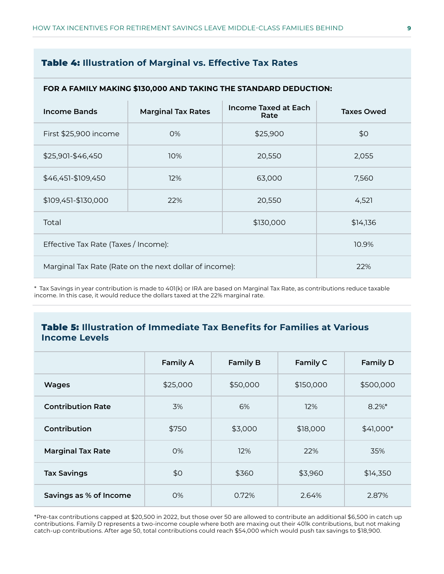#### Table 4: **Illustration of Marginal vs. Effective Tax Rates**

|                                                        | FOR A FAMILY MAKING \$130,000 AND TAKING THE STANDARD DEDUCTION: |                           |                                     |                   |  |  |
|--------------------------------------------------------|------------------------------------------------------------------|---------------------------|-------------------------------------|-------------------|--|--|
|                                                        | <b>Income Bands</b>                                              | <b>Marginal Tax Rates</b> | <b>Income Taxed at Each</b><br>Rate | <b>Taxes Owed</b> |  |  |
|                                                        | First \$25,900 income                                            | 0%                        | \$25,900                            | \$0               |  |  |
|                                                        | \$25,901-\$46,450                                                | 10%                       | 20,550                              | 2,055             |  |  |
|                                                        | \$46,451-\$109,450                                               | 12%                       | 63,000                              | 7,560             |  |  |
|                                                        | \$109,451-\$130,000                                              | 22%                       | 20,550                              | 4,521             |  |  |
|                                                        | Total                                                            | \$14,136                  |                                     |                   |  |  |
| Effective Tax Rate (Taxes / Income):                   |                                                                  |                           |                                     | 10.9%             |  |  |
| Marginal Tax Rate (Rate on the next dollar of income): |                                                                  |                           |                                     | 22%               |  |  |

\* Tax Savings in year contribution is made to 401(k) or IRA are based on Marginal Tax Rate, as contributions reduce taxable income. In this case, it would reduce the dollars taxed at the 22% marginal rate.

#### Table 5: **Illustration of Immediate Tax Benefits for Families at Various Income Levels**

|                          | <b>Family A</b> | <b>Family B</b> | Family C  | <b>Family D</b> |
|--------------------------|-----------------|-----------------|-----------|-----------------|
| <b>Wages</b>             | \$25,000        | \$50,000        | \$150,000 | \$500,000       |
| <b>Contribution Rate</b> | 3%              | 6%              | 12%       | $8.2\%$ *       |
| Contribution             | \$750           | \$3,000         | \$18,000  | $$41,000*$      |
| <b>Marginal Tax Rate</b> | O%              | 12%             | 22%       | 35%             |
| <b>Tax Savings</b>       | \$0             | \$360           | \$3,960   | \$14,350        |
| Savings as % of Income   | $O\%$           | 0.72%           | 2.64%     | 2.87%           |

\*Pre-tax contributions capped at \$20,500 in 2022, but those over 50 are allowed to contribute an additional \$6,500 in catch up contributions. Family D represents a two-income couple where both are maxing out their 401k contributions, but not making catch-up contributions. After age 50, total contributions could reach \$54,000 which would push tax savings to \$18,900.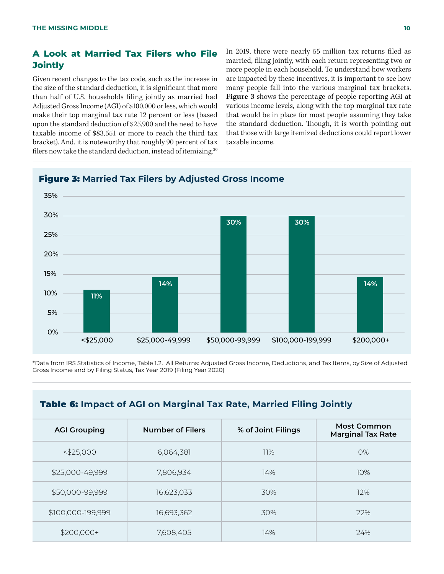#### **A Look at Married Tax Filers who File Jointly**

Given recent changes to the tax code, such as the increase in the size of the standard deduction, it is significant that more than half of U.S. households filing jointly as married had Adjusted Gross Income (AGI) of \$100,000 or less, which would make their top marginal tax rate 12 percent or less (based upon the standard deduction of \$25,900 and the need to have taxable income of \$83,551 or more to reach the third tax bracket). And, it is noteworthy that roughly 90 percent of tax filers now take the standard deduction, instead of itemizing.<sup>20</sup>

In 2019, there were nearly 55 million tax returns filed as married, filing jointly, with each return representing two or more people in each household. To understand how workers are impacted by these incentives, it is important to see how many people fall into the various marginal tax brackets. **Figure 3** shows the percentage of people reporting AGI at various income levels, along with the top marginal tax rate that would be in place for most people assuming they take the standard deduction. Though, it is worth pointing out that those with large itemized deductions could report lower taxable income.



#### Figure 3: **Married Tax Filers by Adjusted Gross Income**

\*Data from IRS Statistics of Income, Table 1.2. All Returns: Adjusted Gross Income, Deductions, and Tax Items, by Size of Adjusted Gross Income and by Filing Status, Tax Year 2019 (Filing Year 2020)

| <b>Table 6:</b> Impact of AGI on Marginal Tax Rate, Married Filing Jointly |  |              |
|----------------------------------------------------------------------------|--|--------------|
|                                                                            |  | $M$ oct $Co$ |

| <b>AGI Grouping</b> | <b>Number of Filers</b> | % of Joint Filings | <b>Most Common</b><br><b>Marginal Tax Rate</b> |
|---------------------|-------------------------|--------------------|------------------------------------------------|
| $<$ \$25,000        | 6,064,381               | 11%                | 0%                                             |
| \$25,000-49,999     | 7,806,934               | 14%                | 10%                                            |
| \$50,000-99,999     | 16,623,033              | 30%                | 12%                                            |
| \$100,000-199,999   | 16,693,362              | 30%                | 22%                                            |
| $$200,000+$         | 7,608,405               | 14%                | 24%                                            |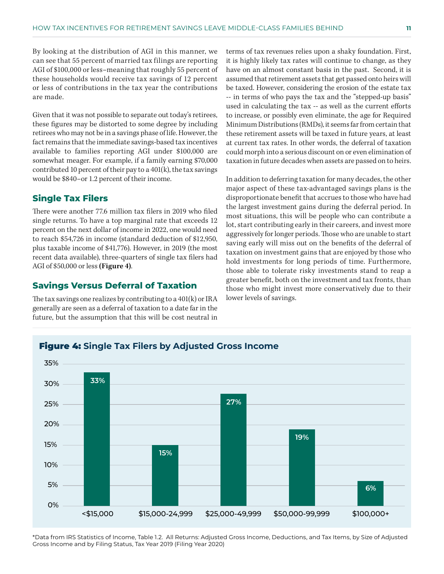By looking at the distribution of AGI in this manner, we can see that 55 percent of married tax filings are reporting AGI of \$100,000 or less–meaning that roughly 55 percent of these households would receive tax savings of 12 percent or less of contributions in the tax year the contributions are made.

Given that it was not possible to separate out today's retirees, these figures may be distorted to some degree by including retirees who may not be in a savings phase of life. However, the fact remains that the immediate savings-based tax incentives available to families reporting AGI under \$100,000 are somewhat meager. For example, if a family earning \$70,000 contributed 10 percent of their pay to a  $401(k)$ , the tax savings would be \$840–or 1.2 percent of their income.

#### **Single Tax Filers**

There were another 77.6 million tax filers in 2019 who filed single returns. To have a top marginal rate that exceeds 12 percent on the next dollar of income in 2022, one would need to reach \$54,726 in income (standard deduction of \$12,950, plus taxable income of \$41,776). However, in 2019 (the most recent data available), three-quarters of single tax filers had AGI of \$50,000 or less **(Figure 4)**.

#### **Savings Versus Deferral of Taxation**

The tax savings one realizes by contributing to a 401(k) or IRA generally are seen as a deferral of taxation to a date far in the future, but the assumption that this will be cost neutral in terms of tax revenues relies upon a shaky foundation. First, it is highly likely tax rates will continue to change, as they have on an almost constant basis in the past. Second, it is assumed that retirement assets that get passed onto heirs will be taxed. However, considering the erosion of the estate tax -- in terms of who pays the tax and the "stepped-up basis" used in calculating the tax -- as well as the current efforts to increase, or possibly even eliminate, the age for Required Minimum Distributions (RMDs), it seems far from certain that these retirement assets will be taxed in future years, at least at current tax rates. In other words, the deferral of taxation could morph into a serious discount on or even elimination of taxation in future decades when assets are passed on to heirs.

In addition to deferring taxation for many decades, the other major aspect of these tax-advantaged savings plans is the disproportionate benefit that accrues to those who have had the largest investment gains during the deferral period. In most situations, this will be people who can contribute a lot, start contributing early in their careers, and invest more aggressively for longer periods. Those who are unable to start saving early will miss out on the benefits of the deferral of taxation on investment gains that are enjoyed by those who hold investments for long periods of time. Furthermore, those able to tolerate risky investments stand to reap a greater benefit, both on the investment and tax fronts, than those who might invest more conservatively due to their lower levels of savings.



\*Data from IRS Statistics of Income, Table 1.2. All Returns: Adjusted Gross Income, Deductions, and Tax Items, by Size of Adjusted Gross Income and by Filing Status, Tax Year 2019 (Filing Year 2020)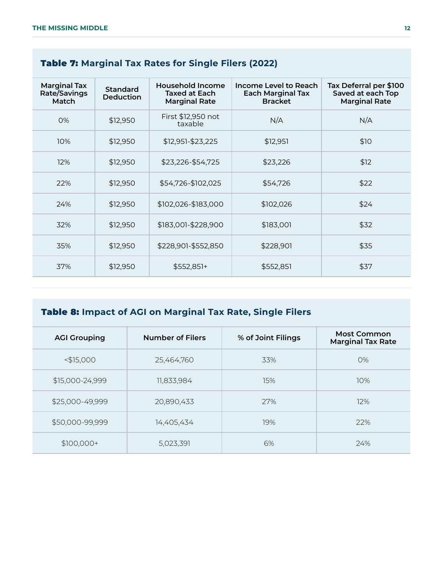#### Table 7: **Marginal Tax Rates for Single Filers (2022)**

| <b>Marginal Tax</b><br>Rate/Savings<br>Match | <b>Standard</b><br><b>Deduction</b> | Household Income<br><b>Taxed at Each</b><br><b>Marginal Rate</b> | Income Level to Reach<br><b>Each Marginal Tax</b><br><b>Bracket</b> | Tax Deferral per \$100<br>Saved at each Top<br><b>Marginal Rate</b> |
|----------------------------------------------|-------------------------------------|------------------------------------------------------------------|---------------------------------------------------------------------|---------------------------------------------------------------------|
| O%                                           | \$12,950                            | First \$12,950 not<br>taxable                                    | N/A                                                                 | N/A                                                                 |
| 10%                                          | \$12,950                            | \$12,951-\$23,225                                                | \$12,951                                                            | \$10                                                                |
| 12%                                          | \$12,950                            | \$23,226-\$54,725                                                | \$23,226                                                            | \$12                                                                |
| 22%                                          | \$12,950                            | \$54,726-\$102,025                                               | \$54,726                                                            | \$22                                                                |
| 24%                                          | \$12,950                            | \$102,026-\$183,000                                              | \$102,026                                                           | \$24                                                                |
| 32%                                          | \$12,950                            | \$183,001-\$228,900                                              | \$183,001                                                           | \$32                                                                |
| 35%                                          | \$12,950                            | \$228,901-\$552,850                                              | \$228,901                                                           | \$35                                                                |
| 37%                                          | \$12,950                            | \$552,851+                                                       | \$552,851                                                           | \$37                                                                |

### Table 8: **Impact of AGI on Marginal Tax Rate, Single Filers**

| <b>AGI Grouping</b> | <b>Number of Filers</b> | % of Joint Filings | <b>Most Common</b><br><b>Marginal Tax Rate</b> |
|---------------------|-------------------------|--------------------|------------------------------------------------|
| $<$ \$15,000        | 25,464,760              | 33%                | O%                                             |
| \$15,000-24,999     | 11,833,984              | 15%                | 10%                                            |
| \$25,000-49,999     | 20,890,433              | 27%                | 12%                                            |
| \$50,000-99,999     | 14,405,434              | 19%                | 22%                                            |
| $$100,000+$         | 5,023,391               | 6%                 | 24%                                            |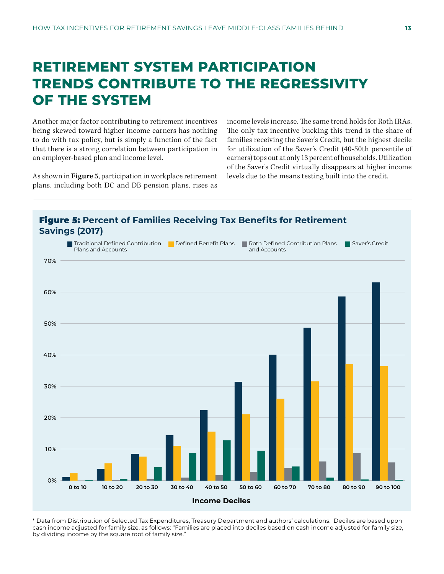### **RETIREMENT SYSTEM PARTICIPATION TRENDS CONTRIBUTE TO THE REGRESSIVITY OF THE SYSTEM**

Another major factor contributing to retirement incentives being skewed toward higher income earners has nothing to do with tax policy, but is simply a function of the fact that there is a strong correlation between participation in an employer-based plan and income level.

As shown in **Figure 5**, participation in workplace retirement plans, including both DC and DB pension plans, rises as income levels increase. The same trend holds for Roth IRAs. The only tax incentive bucking this trend is the share of families receiving the Saver's Credit, but the highest decile for utilization of the Saver's Credit (40-50th percentile of earners) tops out at only 13 percent of households. Utilization of the Saver's Credit virtually disappears at higher income levels due to the means testing built into the credit.



\* Data from Distribution of Selected Tax Expenditures, Treasury Department and authors' calculations. Deciles are based upon cash income adjusted for family size, as follows: "Families are placed into deciles based on cash income adjusted for family size, by dividing income by the square root of family size."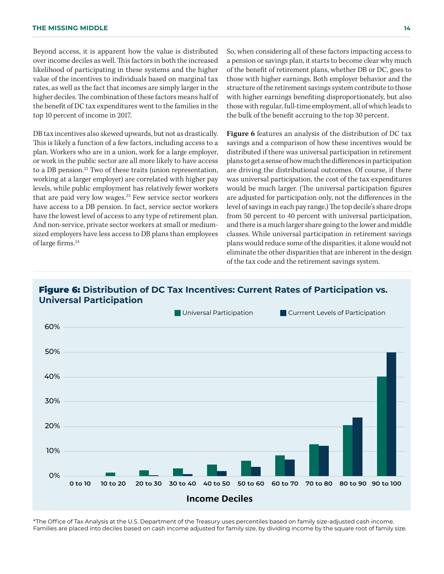Beyond access, it is apparent how the value is distributed over income deciles as well. This factors in both the increased likelihood of participating in these systems and the higher value of the incentives to individuals based on marginal tax rates, as well as the fact that incomes are simply larger in the higher deciles. The combination of these factors means half of the benefit of DC tax expenditures went to the families in the top 10 percent of income in 2017.

DB tax incentives also skewed upwards, but not as drastically. This is likely a function of a few factors, including access to a plan. Workers who are in a union, work for a large employer, or work in the public sector are all more likely to have access to a DB pension.<sup>22</sup> Two of these traits (union representation, working at a larger employer) are correlated with higher pay levels, while public employment has relatively fewer workers that are paid very low wages.<sup>23</sup> Few service sector workers have access to a DB pension. In fact, service sector workers have the lowest level of access to any type of retirement plan. And non-service, private sector workers at small or mediumsized employers have less access to DB plans than employees of large firms.24

So, when considering all of these factors impacting access to a pension or savings plan, it starts to become clear why much of the benefit of retirement plans, whether DB or DC, goes to those with higher earnings. Both employer behavior and the structure of the retirement savings system contribute to those with higher earnings benefiting disproportionately, but also those with regular, full-time employment, all of which leads to the bulk of the benefit accruing to the top 30 percent.

**Figure 6** features an analysis of the distribution of DC tax savings and a comparison of how these incentives would be distributed if there was universal participation in retirement plans to get a sense of how much the differences in participation are driving the distributional outcomes. Of course, if there was universal participation, the cost of the tax expenditures would be much larger. (The universal participation figures are adjusted for participation only, not the differences in the level of savings in each pay range.) The top decile's share drops from 50 percent to 40 percent with universal participation, and there is a much larger share going to the lower and middle classes. While universal participation in retirement savings plans would reduce some of the disparities, it alone would not eliminate the other disparities that are inherent in the design of the tax code and the retirement savings system.

#### Figure 6: **Distribution of DC Tax Incentives: Current Rates of Participation vs. Universal Participation**



\*The Office of Tax Analysis at the U.S. Department of the Treasury uses percentiles based on family size-adjusted cash income. Families are placed into deciles based on cash income adjusted for family size, by dividing income by the square root of family size.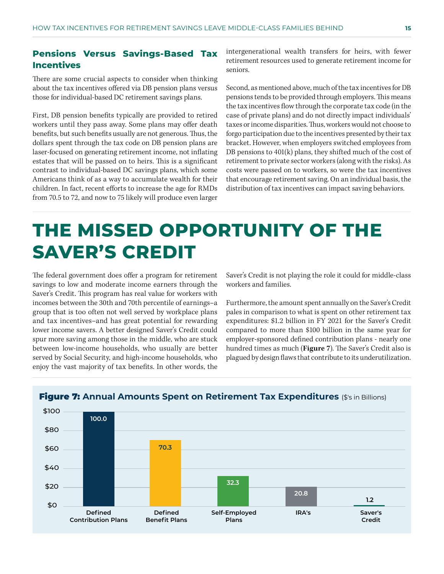#### **Pensions Versus Savings-Based Tax Incentives**

There are some crucial aspects to consider when thinking about the tax incentives offered via DB pension plans versus those for individual-based DC retirement savings plans.

First, DB pension benefits typically are provided to retired workers until they pass away. Some plans may offer death benefits, but such benefits usually are not generous. Thus, the dollars spent through the tax code on DB pension plans are laser-focused on generating retirement income, not inflating estates that will be passed on to heirs. This is a significant contrast to individual-based DC savings plans, which some Americans think of as a way to accumulate wealth for their children. In fact, recent efforts to increase the age for RMDs from 70.5 to 72, and now to 75 likely will produce even larger intergenerational wealth transfers for heirs, with fewer retirement resources used to generate retirement income for seniors.

Second, as mentioned above, much of the tax incentives for DB pensions tends to be provided through employers. This means the tax incentives flow through the corporate tax code (in the case of private plans) and do not directly impact individuals' taxes or income disparities. Thus, workers would not choose to forgo participation due to the incentives presented by their tax bracket. However, when employers switched employees from DB pensions to 401(k) plans, they shifted much of the cost of retirement to private sector workers (along with the risks). As costs were passed on to workers, so were the tax incentives that encourage retirement saving. On an individual basis, the distribution of tax incentives can impact saving behaviors.

### **THE MISSED OPPORTUNITY OF THE SAVER'S CREDIT**

The federal government does offer a program for retirement savings to low and moderate income earners through the Saver's Credit. This program has real value for workers with incomes between the 30th and 70th percentile of earnings–a group that is too often not well served by workplace plans and tax incentives–and has great potential for rewarding lower income savers. A better designed Saver's Credit could spur more saving among those in the middle, who are stuck between low-income households, who usually are better served by Social Security, and high-income households, who enjoy the vast majority of tax benefits. In other words, the

Saver's Credit is not playing the role it could for middle-class workers and families.

Furthermore, the amount spent annually on the Saver's Credit pales in comparison to what is spent on other retirement tax expenditures: \$1.2 billion in FY 2021 for the Saver's Credit compared to more than \$100 billion in the same year for employer-sponsored defined contribution plans - nearly one hundred times as much (**Figure 7**). The Saver's Credit also is plagued by design flaws that contribute to its underutilization.

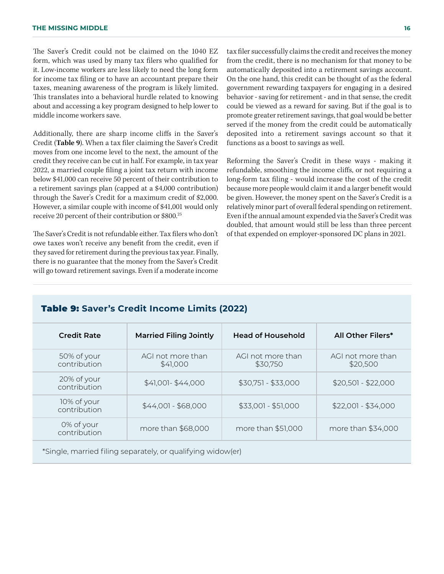The Saver's Credit could not be claimed on the 1040 EZ form, which was used by many tax filers who qualified for it. Low-income workers are less likely to need the long form for income tax filing or to have an accountant prepare their taxes, meaning awareness of the program is likely limited. This translates into a behavioral hurdle related to knowing about and accessing a key program designed to help lower to middle income workers save.

Additionally, there are sharp income cliffs in the Saver's Credit (**Table 9**). When a tax filer claiming the Saver's Credit moves from one income level to the next, the amount of the credit they receive can be cut in half. For example, in tax year 2022, a married couple filing a joint tax return with income below \$41,000 can receive 50 percent of their contribution to a retirement savings plan (capped at a \$4,000 contribution) through the Saver's Credit for a maximum credit of \$2,000. However, a similar couple with income of \$41,001 would only receive 20 percent of their contribution or \$800.25

The Saver's Credit is not refundable either. Tax filers who don't owe taxes won't receive any benefit from the credit, even if they saved for retirement during the previous tax year. Finally, there is no guarantee that the money from the Saver's Credit will go toward retirement savings. Even if a moderate income

tax filer successfully claims the credit and receives the money from the credit, there is no mechanism for that money to be automatically deposited into a retirement savings account. On the one hand, this credit can be thought of as the federal government rewarding taxpayers for engaging in a desired behavior - saving for retirement - and in that sense, the credit could be viewed as a reward for saving. But if the goal is to promote greater retirement savings, that goal would be better served if the money from the credit could be automatically deposited into a retirement savings account so that it functions as a boost to savings as well.

Reforming the Saver's Credit in these ways - making it refundable, smoothing the income cliffs, or not requiring a long-form tax filing - would increase the cost of the credit because more people would claim it and a larger benefit would be given. However, the money spent on the Saver's Credit is a relatively minor part of overall federal spending on retirement. Even if the annual amount expended via the Saver's Credit was doubled, that amount would still be less than three percent of that expended on employer-sponsored DC plans in 2021.

#### Table 9: **Saver's Credit Income Limits (2022)**

| <b>Credit Rate</b>          | <b>Married Filing Jointly</b> | <b>Head of Household</b>      | <b>All Other Filers*</b>      |
|-----------------------------|-------------------------------|-------------------------------|-------------------------------|
| 50% of your<br>contribution | AGI not more than<br>\$41,000 | AGI not more than<br>\$30,750 | AGI not more than<br>\$20,500 |
| 20% of your<br>contribution | $$41,001 - $44,000$           | $$30,751 - $33,000$           | $$20,501 - $22,000$           |
| 10% of your<br>contribution | $$44,001 - $68,000$           | $$33,001 - $51,000$           | $$22,001 - $34,000$           |
| 0% of your<br>contribution  | more than \$68,000            | more than \$51,000            | more than \$34,000            |

\*Single, married filing separately, or qualifying widow(er)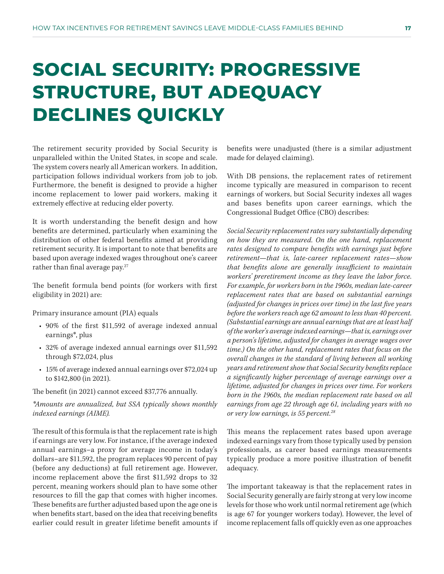## **SOCIAL SECURITY: PROGRESSIVE STRUCTURE, BUT ADEQUACY DECLINES QUICKLY**

The retirement security provided by Social Security is unparalleled within the United States, in scope and scale. The system covers nearly all American workers. In addition, participation follows individual workers from job to job. Furthermore, the benefit is designed to provide a higher income replacement to lower paid workers, making it extremely effective at reducing elder poverty.

It is worth understanding the benefit design and how benefits are determined, particularly when examining the distribution of other federal benefits aimed at providing retirement security. It is important to note that benefits are based upon average indexed wages throughout one's career rather than final average pay.<sup>27</sup>

The benefit formula bend points (for workers with first eligibility in 2021) are:

Primary insurance amount (PIA) equals

- 90% of the first \$11,592 of average indexed annual earnings\*, plus
- 32% of average indexed annual earnings over \$11,592 through \$72,024, plus
- 15% of average indexed annual earnings over \$72,024 up to \$142,800 (in 2021).

The benefit (in 2021) cannot exceed \$37,776 annually.

*\*Amounts are annualized, but SSA typically shows monthly indexed earnings (AIME).*

The result of this formula is that the replacement rate is high if earnings are very low. For instance, if the average indexed annual earnings–a proxy for average income in today's dollars–are \$11,592, the program replaces 90 percent of pay (before any deductions) at full retirement age. However, income replacement above the first \$11,592 drops to 32 percent, meaning workers should plan to have some other resources to fill the gap that comes with higher incomes. These benefits are further adjusted based upon the age one is when benefits start, based on the idea that receiving benefits earlier could result in greater lifetime benefit amounts if benefits were unadjusted (there is a similar adjustment made for delayed claiming).

With DB pensions, the replacement rates of retirement income typically are measured in comparison to recent earnings of workers, but Social Security indexes all wages and bases benefits upon career earnings, which the Congressional Budget Office (CBO) describes:

*Social Security replacement rates vary substantially depending on how they are measured. On the one hand, replacement rates designed to compare benefits with earnings just before retirement—that is, late-career replacement rates—show that benefits alone are generally insufficient to maintain workers' preretirement income as they leave the labor force. For example, for workers born in the 1960s, median late-career replacement rates that are based on substantial earnings (adjusted for changes in prices over time) in the last five years before the workers reach age 62 amount to less than 40 percent. (Substantial earnings are annual earnings that are at least half of the worker's average indexed earnings—that is, earnings over a person's lifetime, adjusted for changes in average wages over time.) On the other hand, replacement rates that focus on the overall changes in the standard of living between all working years and retirement show that Social Security benefits replace a significantly higher percentage of average earnings over a lifetime, adjusted for changes in prices over time. For workers born in the 1960s, the median replacement rate based on all earnings from age 22 through age 61, including years with no or very low earnings, is 55 percent.28*

This means the replacement rates based upon average indexed earnings vary from those typically used by pension professionals, as career based earnings measurements typically produce a more positive illustration of benefit adequacy.

The important takeaway is that the replacement rates in Social Security generally are fairly strong at very low income levels for those who work until normal retirement age (which is age 67 for younger workers today). However, the level of income replacement falls off quickly even as one approaches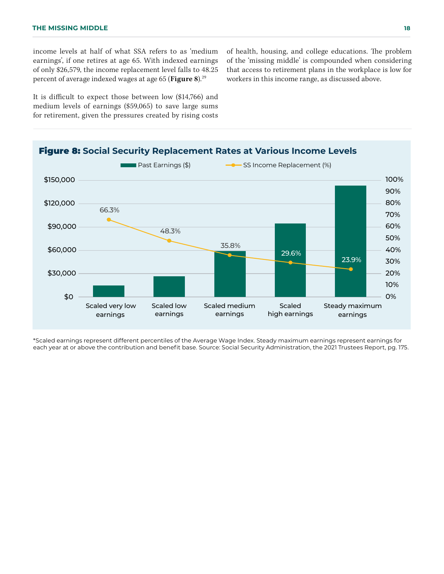income levels at half of what SSA refers to as 'medium earnings', if one retires at age 65. With indexed earnings of only \$26,579, the income replacement level falls to 48.25 percent of average indexed wages at age 65 (**Figure 8**).29

It is difficult to expect those between low (\$14,766) and medium levels of earnings (\$59,065) to save large sums for retirement, given the pressures created by rising costs of health, housing, and college educations. The problem of the 'missing middle' is compounded when considering that access to retirement plans in the workplace is low for workers in this income range, as discussed above.



\*Scaled earnings represent different percentiles of the Average Wage Index. Steady maximum earnings represent earnings for each year at or above the contribution and benefit base. Source: Social Security Administration, the 2021 Trustees Report, pg. 175.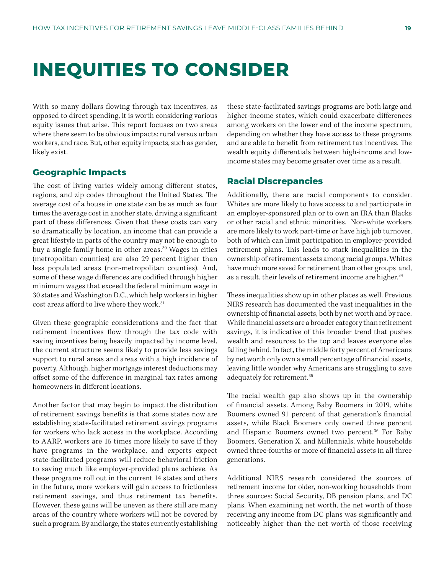### **INEQUITIES TO CONSIDER**

With so many dollars flowing through tax incentives, as opposed to direct spending, it is worth considering various equity issues that arise. This report focuses on two areas where there seem to be obvious impacts: rural versus urban workers, and race. But, other equity impacts, such as gender, likely exist.

#### **Geographic Impacts**

The cost of living varies widely among different states, regions, and zip codes throughout the United States. The average cost of a house in one state can be as much as four times the average cost in another state, driving a significant part of these differences. Given that these costs can vary so dramatically by location, an income that can provide a great lifestyle in parts of the country may not be enough to buy a single family home in other areas.<sup>30</sup> Wages in cities (metropolitan counties) are also 29 percent higher than less populated areas (non-metropolitan counties). And, some of these wage differences are codified through higher minimum wages that exceed the federal minimum wage in 30 states and Washington D.C., which help workers in higher cost areas afford to live where they work.<sup>31</sup>

Given these geographic considerations and the fact that retirement incentives flow through the tax code with saving incentives being heavily impacted by income level, the current structure seems likely to provide less savings support to rural areas and areas with a high incidence of poverty. Although, higher mortgage interest deductions may offset some of the difference in marginal tax rates among homeowners in different locations.

Another factor that may begin to impact the distribution of retirement savings benefits is that some states now are establishing state-facilitated retirement savings programs for workers who lack access in the workplace. According to AARP, workers are 15 times more likely to save if they have programs in the workplace, and experts expect state-facilitated programs will reduce behavioral friction to saving much like employer-provided plans achieve. As these programs roll out in the current 14 states and others in the future, more workers will gain access to frictionless retirement savings, and thus retirement tax benefits. However, these gains will be uneven as there still are many areas of the country where workers will not be covered by such a program. By and large, the states currently establishing

these state-facilitated savings programs are both large and higher-income states, which could exacerbate differences among workers on the lower end of the income spectrum, depending on whether they have access to these programs and are able to benefit from retirement tax incentives. The wealth equity differentials between high-income and lowincome states may become greater over time as a result.

#### **Racial Discrepancies**

Additionally, there are racial components to consider. Whites are more likely to have access to and participate in an employer-sponsored plan or to own an IRA than Blacks or other racial and ethnic minorities. Non-white workers are more likely to work part-time or have high job turnover, both of which can limit participation in employer-provided retirement plans. This leads to stark inequalities in the ownership of retirement assets among racial groups. Whites have much more saved for retirement than other groups and, as a result, their levels of retirement income are higher.<sup>34</sup>

These inequalities show up in other places as well. Previous NIRS research has documented the vast inequalities in the ownership of financial assets, both by net worth and by race. While financial assets are a broader category than retirement savings, it is indicative of this broader trend that pushes wealth and resources to the top and leaves everyone else falling behind. In fact, the middle forty percent of Americans by net worth only own a small percentage of financial assets, leaving little wonder why Americans are struggling to save adequately for retirement.35

The racial wealth gap also shows up in the ownership of financial assets. Among Baby Boomers in 2019, white Boomers owned 91 percent of that generation's financial assets, while Black Boomers only owned three percent and Hispanic Boomers owned two percent.<sup>36</sup> For Baby Boomers, Generation X, and Millennials, white households owned three-fourths or more of financial assets in all three generations.

Additional NIRS research considered the sources of retirement income for older, non-working households from three sources: Social Security, DB pension plans, and DC plans. When examining net worth, the net worth of those receiving any income from DC plans was significantly and noticeably higher than the net worth of those receiving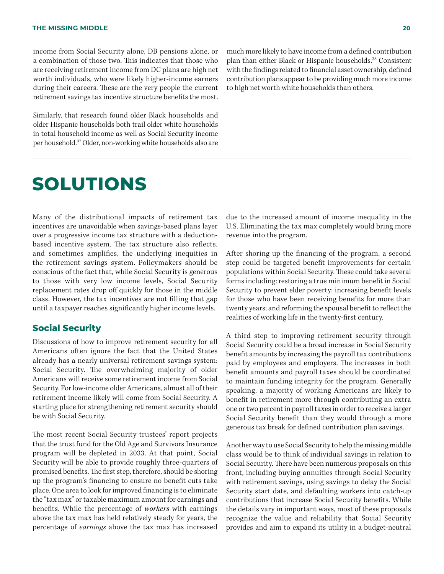income from Social Security alone, DB pensions alone, or a combination of those two. This indicates that those who are receiving retirement income from DC plans are high net worth individuals, who were likely higher-income earners during their careers. These are the very people the current retirement savings tax incentive structure benefits the most.

Similarly, that research found older Black households and older Hispanic households both trail older white households in total household income as well as Social Security income per household.37 Older, non-working white households also are

### **SOLUTIONS**

Many of the distributional impacts of retirement tax incentives are unavoidable when savings-based plans layer over a progressive income tax structure with a deductionbased incentive system. The tax structure also reflects, and sometimes amplifies, the underlying inequities in the retirement savings system. Policymakers should be conscious of the fact that, while Social Security is generous to those with very low income levels, Social Security replacement rates drop off quickly for those in the middle class. However, the tax incentives are not filling that gap until a taxpayer reaches significantly higher income levels.

#### **Social Security**

Discussions of how to improve retirement security for all Americans often ignore the fact that the United States already has a nearly universal retirement savings system: Social Security. The overwhelming majority of older Americans will receive some retirement income from Social Security. For low-income older Americans, almost all of their retirement income likely will come from Social Security. A starting place for strengthening retirement security should be with Social Security.

The most recent Social Security trustees' report projects that the trust fund for the Old Age and Survivors Insurance program will be depleted in 2033. At that point, Social Security will be able to provide roughly three-quarters of promised benefits. The first step, therefore, should be shoring up the program's financing to ensure no benefit cuts take place. One area to look for improved financing is to eliminate the "tax max" or taxable maximum amount for earnings and benefits. While the percentage of *workers* with earnings above the tax max has held relatively steady for years, the percentage of *earnings* above the tax max has increased

much more likely to have income from a defined contribution plan than either Black or Hispanic households.38 Consistent with the findings related to financial asset ownership, defined contribution plans appear to be providing much more income to high net worth white households than others.

due to the increased amount of income inequality in the U.S. Eliminating the tax max completely would bring more revenue into the program.

After shoring up the financing of the program, a second step could be targeted benefit improvements for certain populations within Social Security. These could take several forms including: restoring a true minimum benefit in Social Security to prevent elder poverty; increasing benefit levels for those who have been receiving benefits for more than twenty years; and reforming the spousal benefit to reflect the realities of working life in the twenty-first century.

A third step to improving retirement security through Social Security could be a broad increase in Social Security benefit amounts by increasing the payroll tax contributions paid by employees and employers. The increases in both benefit amounts and payroll taxes should be coordinated to maintain funding integrity for the program. Generally speaking, a majority of working Americans are likely to benefit in retirement more through contributing an extra one or two percent in payroll taxes in order to receive a larger Social Security benefit than they would through a more generous tax break for defined contribution plan savings.

Another way to use Social Security to help the missing middle class would be to think of individual savings in relation to Social Security. There have been numerous proposals on this front, including buying annuities through Social Security with retirement savings, using savings to delay the Social Security start date, and defaulting workers into catch-up contributions that increase Social Security benefits. While the details vary in important ways, most of these proposals recognize the value and reliability that Social Security provides and aim to expand its utility in a budget-neutral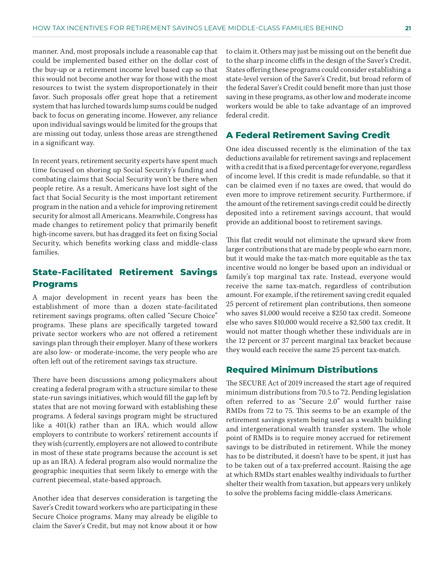manner. And, most proposals include a reasonable cap that could be implemented based either on the dollar cost of the buy-up or a retirement income level based cap so that this would not become another way for those with the most resources to twist the system disproportionately in their favor. Such proposals offer great hope that a retirement system that has lurched towards lump sums could be nudged back to focus on generating income. However, any reliance upon individual savings would be limited for the groups that are missing out today, unless those areas are strengthened in a significant way.

In recent years, retirement security experts have spent much time focused on shoring up Social Security's funding and combating claims that Social Security won't be there when people retire. As a result, Americans have lost sight of the fact that Social Security is the most important retirement program in the nation and a vehicle for improving retirement security for almost all Americans. Meanwhile, Congress has made changes to retirement policy that primarily benefit high-income savers, but has dragged its feet on fixing Social Security, which benefits working class and middle-class families.

#### **State-Facilitated Retirement Savings Programs**

A major development in recent years has been the establishment of more than a dozen state-facilitated retirement savings programs, often called "Secure Choice" programs. These plans are specifically targeted toward private sector workers who are not offered a retirement savings plan through their employer. Many of these workers are also low- or moderate-income, the very people who are often left out of the retirement savings tax structure.

There have been discussions among policymakers about creating a federal program with a structure similar to these state-run savings initiatives, which would fill the gap left by states that are not moving forward with establishing these programs. A federal savings program might be structured like a 401(k) rather than an IRA, which would allow employers to contribute to workers' retirement accounts if they wish (currently, employers are not allowed to contribute in most of these state programs because the account is set up as an IRA). A federal program also would normalize the geographic inequities that seem likely to emerge with the current piecemeal, state-based approach.

Another idea that deserves consideration is targeting the Saver's Credit toward workers who are participating in these Secure Choice programs. Many may already be eligible to claim the Saver's Credit, but may not know about it or how to claim it. Others may just be missing out on the benefit due to the sharp income cliffs in the design of the Saver's Credit. States offering these programs could consider establishing a state-level version of the Saver's Credit, but broad reform of the federal Saver's Credit could benefit more than just those saving in these programs, as other low and moderate income workers would be able to take advantage of an improved federal credit.

#### **A Federal Retirement Saving Credit**

One idea discussed recently is the elimination of the tax deductions available for retirement savings and replacement with a credit that is a fixed percentage for everyone, regardless of income level. If this credit is made refundable, so that it can be claimed even if no taxes are owed, that would do even more to improve retirement security. Furthermore, if the amount of the retirement savings credit could be directly deposited into a retirement savings account, that would provide an additional boost to retirement savings.

This flat credit would not eliminate the upward skew from larger contributions that are made by people who earn more, but it would make the tax-match more equitable as the tax incentive would no longer be based upon an individual or family's top marginal tax rate. Instead, everyone would receive the same tax-match, regardless of contribution amount. For example, if the retirement saving credit equaled 25 percent of retirement plan contributions, then someone who saves \$1,000 would receive a \$250 tax credit. Someone else who saves \$10,000 would receive a \$2,500 tax credit. It would not matter though whether these individuals are in the 12 percent or 37 percent marginal tax bracket because they would each receive the same 25 percent tax-match.

#### **Required Minimum Distributions**

The SECURE Act of 2019 increased the start age of required minimum distributions from 70.5 to 72. Pending legislation often referred to as "Secure 2.0" would further raise RMDs from 72 to 75. This seems to be an example of the retirement savings system being used as a wealth building and intergenerational wealth transfer system. The whole point of RMDs is to require money accrued for retirement savings to be distributed in retirement. While the money has to be distributed, it doesn't have to be spent, it just has to be taken out of a tax-preferred account. Raising the age at which RMDs start enables wealthy individuals to further shelter their wealth from taxation, but appears very unlikely to solve the problems facing middle-class Americans.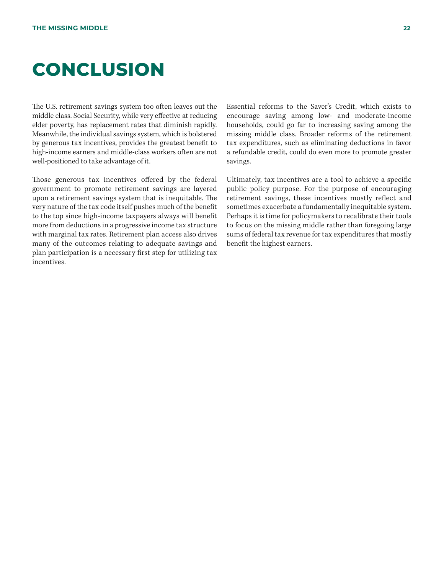### **CONCLUSION**

The U.S. retirement savings system too often leaves out the middle class. Social Security, while very effective at reducing elder poverty, has replacement rates that diminish rapidly. Meanwhile, the individual savings system, which is bolstered by generous tax incentives, provides the greatest benefit to high-income earners and middle-class workers often are not well-positioned to take advantage of it.

Those generous tax incentives offered by the federal government to promote retirement savings are layered upon a retirement savings system that is inequitable. The very nature of the tax code itself pushes much of the benefit to the top since high-income taxpayers always will benefit more from deductions in a progressive income tax structure with marginal tax rates. Retirement plan access also drives many of the outcomes relating to adequate savings and plan participation is a necessary first step for utilizing tax incentives.

Essential reforms to the Saver's Credit, which exists to encourage saving among low- and moderate-income households, could go far to increasing saving among the missing middle class. Broader reforms of the retirement tax expenditures, such as eliminating deductions in favor a refundable credit, could do even more to promote greater savings.

Ultimately, tax incentives are a tool to achieve a specific public policy purpose. For the purpose of encouraging retirement savings, these incentives mostly reflect and sometimes exacerbate a fundamentally inequitable system. Perhaps it is time for policymakers to recalibrate their tools to focus on the missing middle rather than foregoing large sums of federal tax revenue for tax expenditures that mostly benefit the highest earners.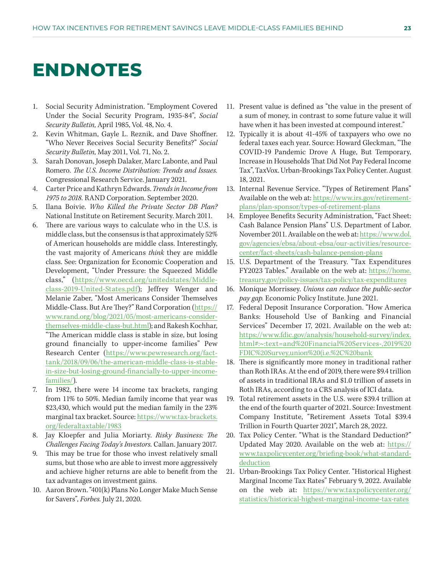### **ENDNOTES**

- 1. Social Security Administration. "Employment Covered Under the Social Security Program, 1935-84", *Social Security Bulletin,* April 1985, Vol. 48, No. 4.
- 2. Kevin Whitman, Gayle L. Reznik, and Dave Shoffner. "Who Never Receives Social Security Benefits?" *Social Security Bulletin,* May 2011, Vol. 71, No. 2.
- 3. Sarah Donovan, Joseph Dalaker, Marc Labonte, and Paul Romero. *The U.S. Income Distribution: Trends and Issues.*  Congressional Research Service. January 2021.
- 4. Carter Price and Kathryn Edwards. *Trends in Income from 1975 to 2018.* RAND Corporation. September 2020.
- 5. Ilana Boivie. *Who Killed the Private Sector DB Plan?*  National Institute on Retirement Security. March 2011.
- 6. There are various ways to calculate who in the U.S. is middle class, but the consensus is that approximately 52% of American households are middle class. Interestingly, the vast majority of Americans *think* they are middle class. See: Organization for Economic Cooperation and Development, "Under Pressure: the Squeezed Middle class," [\(https://www.oecd.org/unitedstates/Middle](https://www.oecd.org/unitedstates/Middle-class-2019-United-States.pdf)[class-2019-United-States.pdf](https://www.oecd.org/unitedstates/Middle-class-2019-United-States.pdf)); Jeffrey Wenger and Melanie Zaber, "Most Americans Consider Themselves Middle-Class. But Are They?" Rand Corporation [\(https://](https://www.rand.org/blog/2021/05/most-americans-consider-themselves-middle-class-but.html) [www.rand.org/blog/2021/05/most-americans-consider](https://www.rand.org/blog/2021/05/most-americans-consider-themselves-middle-class-but.html)[themselves-middle-class-but.html](https://www.rand.org/blog/2021/05/most-americans-consider-themselves-middle-class-but.html)); and Rakesh Kochhar, "The American middle class is stable in size, but losing ground financially to upper-income families" Pew Research Center [\(https://www.pewresearch.org/fact](https://www.pewresearch.org/fact-tank/2018/09/06/the-american-middle-class-is-stable-in-size-but-losing-ground-financially-to-upper-income-families/)[tank/2018/09/06/the-american-middle-class-is-stable](https://www.pewresearch.org/fact-tank/2018/09/06/the-american-middle-class-is-stable-in-size-but-losing-ground-financially-to-upper-income-families/)[in-size-but-losing-ground-financially-to-upper-income](https://www.pewresearch.org/fact-tank/2018/09/06/the-american-middle-class-is-stable-in-size-but-losing-ground-financially-to-upper-income-families/)[families/\)](https://www.pewresearch.org/fact-tank/2018/09/06/the-american-middle-class-is-stable-in-size-but-losing-ground-financially-to-upper-income-families/).
- 7. In 1982, there were 14 income tax brackets, ranging from 11% to 50%. Median family income that year was \$23,430, which would put the median family in the 23% marginal tax bracket. Source: [https://www.tax-brackets.](https://www.tax-brackets.org/federaltaxtable/1983) [org/federaltaxtable/1983](https://www.tax-brackets.org/federaltaxtable/1983)
- 8. Jay Kloepfer and Julia Moriarty. *Risky Business: The Challenges Facing Today's Investors.* Callan. January 2017.
- 9. This may be true for those who invest relatively small sums, but those who are able to invest more aggressively and achieve higher returns are able to benefit from the tax advantages on investment gains.
- 10. Aaron Brown. "401(k) Plans No Longer Make Much Sense for Savers", *Forbes.* July 21, 2020.
- 11. Present value is defined as "the value in the present of a sum of money, in contrast to some future value it will have when it has been invested at compound interest."
- 12. Typically it is about 41-45% of taxpayers who owe no federal taxes each year. Source: Howard Gleckman, "The COVID-19 Pandemic Drove A Huge, But Temporary, Increase in Households That Did Not Pay Federal Income Tax", TaxVox. Urban-Brookings Tax Policy Center. August 18, 2021.
- 13. Internal Revenue Service. "Types of Retirement Plans" Available on the web at: [https://www.irs.gov/retirement](https://www.irs.gov/retirement-plans/plan-sponsor/types-of-retirement-plans)[plans/plan-sponsor/types-of-retirement-plans](https://www.irs.gov/retirement-plans/plan-sponsor/types-of-retirement-plans)
- 14. Employee Benefits Security Administration, "Fact Sheet: Cash Balance Pension Plans" U.S. Department of Labor. November 2011. Available on the web at: [https://www.dol.](https://www.dol.gov/agencies/ebsa/about-ebsa/our-activities/resource-center/fact-sheets/cash-balance-pension-plans) [gov/agencies/ebsa/about-ebsa/our-activities/resource](https://www.dol.gov/agencies/ebsa/about-ebsa/our-activities/resource-center/fact-sheets/cash-balance-pension-plans)[center/fact-sheets/cash-balance-pension-plans](https://www.dol.gov/agencies/ebsa/about-ebsa/our-activities/resource-center/fact-sheets/cash-balance-pension-plans)
- 15. U.S. Department of the Treasury. "Tax Expenditures FY2023 Tables." Available on the web at: [https://home.](https://home.treasury.gov/policy-issues/tax-policy/tax-expenditures) [treasury.gov/policy-issues/tax-policy/tax-expenditures](https://home.treasury.gov/policy-issues/tax-policy/tax-expenditures)
- 16. Monique Morrissey. *Unions can reduce the public-sector pay gap.* Economic Policy Institute. June 2021.
- 17. Federal Deposit Insurance Corporation. "How America Banks: Household Use of Banking and Financial Services" December 17, 2021. Available on the web at: [https://www.fdic.gov/analysis/household-survey/index.](https://www.fdic.gov/analysis/household-survey/index.html#:~:text=and%20Financial%20Services-,2019%20FDIC%20Survey,union%20(i.e.%2C%20bank) [html#:~:text=and%20Financial%20Services-,2019%20](https://www.fdic.gov/analysis/household-survey/index.html#:~:text=and%20Financial%20Services-,2019%20FDIC%20Survey,union%20(i.e.%2C%20bank) [FDIC%20Survey,union%20\(i.e.%2C%20bank](https://www.fdic.gov/analysis/household-survey/index.html#:~:text=and%20Financial%20Services-,2019%20FDIC%20Survey,union%20(i.e.%2C%20bank)
- 18. There is significantly more money in traditional rather than Roth IRAs. At the end of 2019, there were \$9.4 trillion of assets in traditional IRAs and \$1.0 trillion of assets in Roth IRAs, according to a CRS analysis of ICI data.
- 19. Total retirement assets in the U.S. were \$39.4 trillion at the end of the fourth quarter of 2021. Source: Investment Company Institute, "Retirement Assets Total \$39.4 Trillion in Fourth Quarter 2021", March 28, 2022.
- 20. Tax Policy Center. "What is the Standard Deduction?" Updated May 2020. Available on the web at: [https://](https://www.taxpolicycenter.org/briefing-book/what-standard-deduction) [www.taxpolicycenter.org/briefing-book/what-standard](https://www.taxpolicycenter.org/briefing-book/what-standard-deduction)[deduction](https://www.taxpolicycenter.org/briefing-book/what-standard-deduction)
- 21. Urban-Brookings Tax Policy Center. "Historical Highest Marginal Income Tax Rates" February 9, 2022. Available on the web at: [https://www.taxpolicycenter.org/](https://www.taxpolicycenter.org/statistics/historical-highest-marginal-income-tax-rates) [statistics/historical-highest-marginal-income-tax-rates](https://www.taxpolicycenter.org/statistics/historical-highest-marginal-income-tax-rates)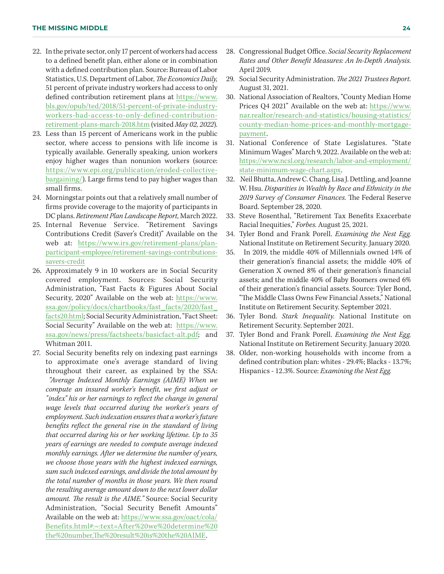- 22. In the private sector, only 17 percent of workers had access to a defined benefit plan, either alone or in combination with a defined contribution plan. Source: Bureau of Labor Statistics, U.S. Department of Labor, *The Economics Daily,* 51 percent of private industry workers had access to only defined contribution retirement plans at [https://www.](https://www.bls.gov/opub/ted/2018/51-percent-of-private-industry-workers-had-access-to-only-defined-contribution-retirement-plans-march-2018.htm) [bls.gov/opub/ted/2018/51-percent-of-private-industry](https://www.bls.gov/opub/ted/2018/51-percent-of-private-industry-workers-had-access-to-only-defined-contribution-retirement-plans-march-2018.htm)[workers-had-access-to-only-defined-contribution](https://www.bls.gov/opub/ted/2018/51-percent-of-private-industry-workers-had-access-to-only-defined-contribution-retirement-plans-march-2018.htm)[retirement-plans-march-2018.htm](https://www.bls.gov/opub/ted/2018/51-percent-of-private-industry-workers-had-access-to-only-defined-contribution-retirement-plans-march-2018.htm) (visited *May 02, 2022*).
- 23. Less than 15 percent of Americans work in the public sector, where access to pensions with life income is typically available. Generally speaking, union workers enjoy higher wages than nonunion workers (source: [https://www.epi.org/publication/eroded-collective](https://www.epi.org/publication/eroded-collective-bargaining/)[bargaining/\)](https://www.epi.org/publication/eroded-collective-bargaining/). Large firms tend to pay higher wages than small firms.
- 24. Morningstar points out that a relatively small number of firms provide coverage to the majority of participants in DC plans. *Retirement Plan Landscape Report,* March 2022.
- 25. Internal Revenue Service. "Retirement Savings Contributions Credit (Saver's Credit)" Available on the web at: [https://www.irs.gov/retirement-plans/plan](https://www.irs.gov/retirement-plans/plan-participant-employee/retirement-savings-contributions-savers-credit)[participant-employee/retirement-savings-contributions](https://www.irs.gov/retirement-plans/plan-participant-employee/retirement-savings-contributions-savers-credit)[savers-credit](https://www.irs.gov/retirement-plans/plan-participant-employee/retirement-savings-contributions-savers-credit)
- 26. Approximately 9 in 10 workers are in Social Security covered employment. Sources: Social Security Administration, "Fast Facts & Figures About Social Security, 2020" Available on the web at: [https://www.](https://www.ssa.gov/policy/docs/chartbooks/fast_facts/2020/fast_facts20.html) [ssa.gov/policy/docs/chartbooks/fast\\_facts/2020/fast\\_](https://www.ssa.gov/policy/docs/chartbooks/fast_facts/2020/fast_facts20.html) [facts20.html](https://www.ssa.gov/policy/docs/chartbooks/fast_facts/2020/fast_facts20.html); Social Security Administration, "Fact Sheet: Social Security" Available on the web at: [https://www.](https://www.ssa.gov/news/press/factsheets/basicfact-alt.pdf) [ssa.gov/news/press/factsheets/basicfact-alt.pdf](https://www.ssa.gov/news/press/factsheets/basicfact-alt.pdf); and Whitman 2011.
- 27. Social Security benefits rely on indexing past earnings to approximate one's average standard of living throughout their career, as explained by the SSA:  *"Average Indexed Monthly Earnings (AIME) When we compute an insured worker's benefit, we first adjust or "index" his or her earnings to reflect the change in general wage levels that occurred during the worker's years of employment. Such indexation ensures that a worker's future benefits reflect the general rise in the standard of living that occurred during his or her working lifetime. Up to 35 years of earnings are needed to compute average indexed monthly earnings. After we determine the number of years, we choose those years with the highest indexed earnings, sum such indexed earnings, and divide the total amount by the total number of months in those years. We then round the resulting average amount down to the next lower dollar amount. The result is the AIME."* Source: Social Security Administration, "Social Security Benefit Amounts" Available on the web at: [https://www.ssa.gov/oact/cola/](https://www.ssa.gov/oact/cola/Benefits.html#:~:text=After%20we%20determine%20the%20number,The%20result%20is%20the%20AIME) [Benefits.html#:~:text=After%20we%20determine%20](https://www.ssa.gov/oact/cola/Benefits.html#:~:text=After%20we%20determine%20the%20number,The%20result%20is%20the%20AIME) [the%20number,The%20result%20is%20the%20AIME](https://www.ssa.gov/oact/cola/Benefits.html#:~:text=After%20we%20determine%20the%20number,The%20result%20is%20the%20AIME).
- 28. Congressional Budget Office. *Social Security Replacement Rates and Other Benefit Measures: An In-Depth Analysis.*  April 2019.
- 29. Social Security Administration. *The 2021 Trustees Report.*  August 31, 2021.
- 30. National Association of Realtors, "County Median Home Prices Q4 2021" Available on the web at: [https://www.](https://www.nar.realtor/research-and-statistics/housing-statistics/county-median-home-prices-and-monthly-mortgage-payment) [nar.realtor/research-and-statistics/housing-statistics/](https://www.nar.realtor/research-and-statistics/housing-statistics/county-median-home-prices-and-monthly-mortgage-payment) [county-median-home-prices-and-monthly-mortgage](https://www.nar.realtor/research-and-statistics/housing-statistics/county-median-home-prices-and-monthly-mortgage-payment)[payment.](https://www.nar.realtor/research-and-statistics/housing-statistics/county-median-home-prices-and-monthly-mortgage-payment)
- 31. National Conference of State Legislatures. "State Minimum Wages" March 9, 2022. Available on the web at: [https://www.ncsl.org/research/labor-and-employment/](https://www.ncsl.org/research/labor-and-employment/state-minimum-wage-chart.aspx) [state-minimum-wage-chart.aspx](https://www.ncsl.org/research/labor-and-employment/state-minimum-wage-chart.aspx).
- 32. Neil Bhutta, Andrew C. Chang, Lisa J. Dettling, and Joanne W. Hsu. *Disparities in Wealth by Race and Ethnicity in the 2019 Survey of Consumer Finances.* The Federal Reserve Board. September 28, 2020.
- 33. Steve Rosenthal, "Retirement Tax Benefits Exacerbate Racial Inequities," *Forbes.* August 25, 2021.
- 34. Tyler Bond and Frank Porell. *Examining the Nest Egg.*  National Institute on Retirement Security. January 2020.
- 35. In 2019, the middle 40% of Millennials owned 14% of their generation's financial assets; the middle 40% of Generation X owned 8% of their generation's financial assets; and the middle 40% of Baby Boomers owned 6% of their generation's financial assets. Source: Tyler Bond, "The Middle Class Owns Few Financial Assets," National Institute on Retirement Security. September 2021.
- 36. Tyler Bond. *Stark Inequality.* National Institute on Retirement Security. September 2021.
- 37. Tyler Bond and Frank Porell. *Examining the Nest Egg.*  National Institute on Retirement Security. January 2020.
- 38. Older, non-working households with income from a defined contribution plan: whites - 29.4%; Blacks - 13.7%; Hispanics - 12.3%. Source: *Examining the Nest Egg.*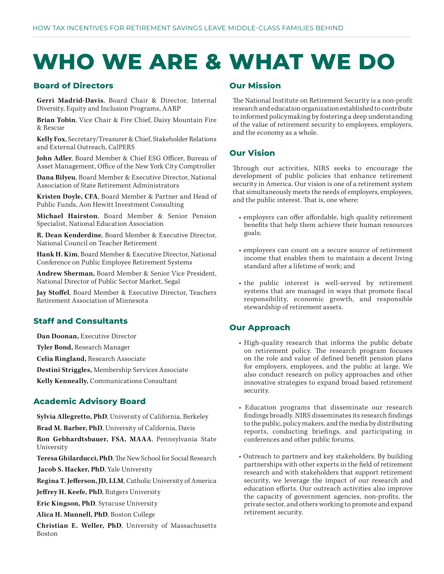# **WHO WE ARE & WHAT WE DO**

#### **Board of Directors**

**Gerri Madrid-Davis**, Board Chair & Director, Internal Diversity, Equity and Inclusion Programs, AARP

**Brian Tobin**, Vice Chair & Fire Chief, Daisy Mountain Fire & Rescue

**Kelly Fox**, Secretary/Treasurer & Chief, Stakeholder Relations and External Outreach, CalPERS

**John Adler**, Board Member & Chief ESG Officer, Bureau of Asset Management, Office of the New York City Comptroller

**Dana Bilyeu**, Board Member & Executive Director, National Association of State Retirement Administrators

**Kristen Doyle, CFA**, Board Member & Partner and Head of Public Funds, Aon Hewitt Investment Consulting

**Michael Hairston**, Board Member & Senior Pension Specialist, National Education Association

**R. Dean Kenderdine**, Board Member & Executive Director, National Council on Teacher Retirement

**Hank H. Kim**, Board Member & Executive Director, National Conference on Public Employee Retirement Systems

**Andrew Sherman,** Board Member & Senior Vice President, National Director of Public Sector Market, Segal

**Jay Stoffel**, Board Member & Executive Director, Teachers Retirement Association of Minnesota

#### **Staff and Consultants**

**Dan Doonan,** Executive Director

**Tyler Bond,** Research Manager

**Celia Ringland,** Research Associate

**Destini Striggles,** Membership Services Associate

**Kelly Kenneally,** Communications Consultant

#### **Academic Advisory Board**

**Sylvia Allegretto, PhD**, University of California, Berkeley **Brad M. Barber, PhD**, University of California, Davis

**Ron Gebhardtsbauer, FSA, MAAA**, Pennsylvania State University

**Teresa Ghilarducci, PhD**, The New School for Social Research

 **Jacob S. Hacker, PhD**, Yale University

**Regina T. Jefferson, JD, LLM**, Catholic University of America

**Jeffrey H. Keefe, PhD**, Rutgers University

**Eric Kingson, PhD**, Syracuse University

**Alica H. Munnell, PhD**, Boston College

**Christian E. Weller, PhD**, University of Massachusetts Boston

#### **Our Mission**

The National Institute on Retirement Security is a non-profit research and education organization established to contribute to informed policymaking by fostering a deep understanding of the value of retirement security to employees, employers, and the economy as a whole.

#### **Our Vision**

Through our activities, NIRS seeks to encourage the development of public policies that enhance retirement security in America. Our vision is one of a retirement system that simultaneously meets the needs of employers, employees, and the public interest. That is, one where:

- employers can offer affordable, high quality retirement benefits that help them achieve their human resources goals;
- employees can count on a secure source of retirement income that enables them to maintain a decent living standard after a lifetime of work; and
- the public interest is well-served by retirement systems that are managed in ways that promote fiscal responsibility, economic growth, and responsible stewardship of retirement assets.

#### **Our Approach**

- High-quality research that informs the public debate on retirement policy. The research program focuses on the role and value of defined benefit pension plans for employers, employees, and the public at large. We also conduct research on policy approaches and other innovative strategies to expand broad based retirement security.
- Education programs that disseminate our research findings broadly. NIRS disseminates its research findings to the public, policy makers, and the media by distributing reports, conducting briefings, and participating in conferences and other public forums.
- Outreach to partners and key stakeholders. By building partnerships with other experts in the field of retirement research and with stakeholders that support retirement security, we leverage the impact of our research and education efforts. Our outreach activities also improve the capacity of government agencies, non-profits, the private sector, and others working to promote and expand retirement security.